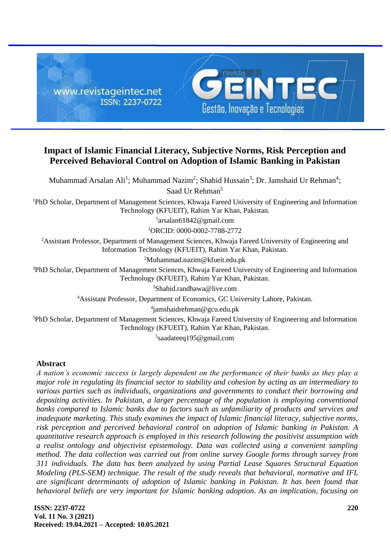

# **Impact of Islamic Financial Literacy, Subjective Norms, Risk Perception and Perceived Behavioral Control on Adoption of Islamic Banking in Pakistan**

Muhammad Arsalan Ali<sup>1</sup>; Muhammad Nazim<sup>2</sup>; Shahid Hussain<sup>3</sup>; Dr. Jamshaid Ur Rehman<sup>4</sup>; Saad Ur Rehman<sup>5</sup> <sup>1</sup>PhD Scholar, Department of Management Sciences, Khwaja Fareed University of Engineering and Information Technology (KFUEIT), Rahim Yar Khan, Pakistan. 1 arsalan61842@gmail.com <sup>1</sup>ORCID: 0000-0002-7788-2772 <sup>2</sup>Assistant Professor, Department of Management Sciences, Khwaja Fareed University of Engineering and Information Technology (KFUEIT), Rahim Yar Khan, Pakistan. <sup>2</sup>Muhammad.nazim@kfueit.edu.pk <sup>3</sup>PhD Scholar, Department of Management Sciences, Khwaja Fareed University of Engineering and Information Technology (KFUEIT), Rahim Yar Khan, Pakistan. <sup>3</sup>Shahid.randhawa@live.com

<sup>4</sup>Assistant Professor, Department of Economics, GC University Lahore, Pakistan.

4 jamshaidrehman@gcu.edu.pk

<sup>5</sup>PhD Scholar, Department of Management Sciences, Khwaja Fareed University of Engineering and Information Technology (KFUEIT), Rahim Yar Khan, Pakistan.

5 saadateeq195@gmail.com

# **Abstract**

*A nation's economic success is largely dependent on the performance of their banks as they play a major role in regulating its financial sector to stability and cohesion by acting as an intermediary to various parties such as individuals, organizations and governments to conduct their borrowing and depositing activities. In Pakistan, a larger percentage of the population is employing conventional banks compared to Islamic banks due to factors such as unfamiliarity of products and services and inadequate marketing. This study examines the impact of Islamic financial literacy, subjective norms, risk perception and perceived behavioral control on adoption of Islamic banking in Pakistan. A quantitative research approach is employed in this research following the positivist assumption with a realist ontology and objectivist epistemology. Data was collected using a convenient sampling method. The data collection was carried out from online survey Google forms through survey from 311 individuals. The data has been analyzed by using Partial Lease Squares Structural Equation Modeling (PLS-SEM) technique. The result of the study reveals that behavioral, normative and IFL are significant determinants of adoption of Islamic banking in Pakistan. It has been found that behavioral beliefs are very important for Islamic banking adoption. As an implication, focusing on*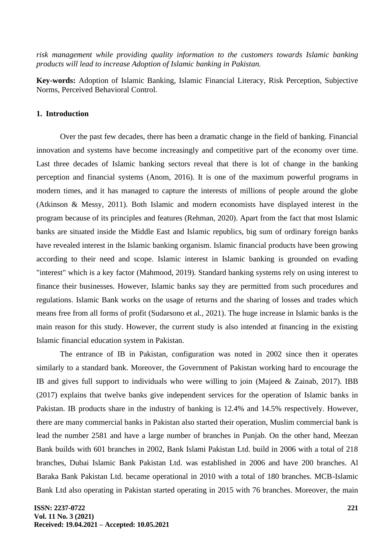*risk management while providing quality information to the customers towards Islamic banking products will lead to increase Adoption of Islamic banking in Pakistan.*

**Key-words:** Adoption of Islamic Banking, Islamic Financial Literacy, Risk Perception, Subjective Norms, Perceived Behavioral Control.

# **1. Introduction**

Over the past few decades, there has been a dramatic change in the field of banking. Financial innovation and systems have become increasingly and competitive part of the economy over time. Last three decades of Islamic banking sectors reveal that there is lot of change in the banking perception and financial systems (Anom, 2016). It is one of the maximum powerful programs in modern times, and it has managed to capture the interests of millions of people around the globe (Atkinson & Messy, 2011). Both Islamic and modern economists have displayed interest in the program because of its principles and features (Rehman, 2020). Apart from the fact that most Islamic banks are situated inside the Middle East and Islamic republics, big sum of ordinary foreign banks have revealed interest in the Islamic banking organism. Islamic financial products have been growing according to their need and scope. Islamic interest in Islamic banking is grounded on evading "interest" which is a key factor (Mahmood, 2019). Standard banking systems rely on using interest to finance their businesses. However, Islamic banks say they are permitted from such procedures and regulations. Islamic Bank works on the usage of returns and the sharing of losses and trades which means free from all forms of profit (Sudarsono et al., 2021). The huge increase in Islamic banks is the main reason for this study. However, the current study is also intended at financing in the existing Islamic financial education system in Pakistan.

The entrance of IB in Pakistan, configuration was noted in 2002 since then it operates similarly to a standard bank. Moreover, the Government of Pakistan working hard to encourage the IB and gives full support to individuals who were willing to join (Majeed & Zainab, 2017). IBB (2017) explains that twelve banks give independent services for the operation of Islamic banks in Pakistan. IB products share in the industry of banking is 12.4% and 14.5% respectively. However, there are many commercial banks in Pakistan also started their operation, Muslim commercial bank is lead the number 2581 and have a large number of branches in Punjab. On the other hand, Meezan Bank builds with 601 branches in 2002, Bank Islami Pakistan Ltd. build in 2006 with a total of 218 branches, Dubai Islamic Bank Pakistan Ltd. was established in 2006 and have 200 branches. Al Baraka Bank Pakistan Ltd. became operational in 2010 with a total of 180 branches. MCB-Islamic Bank Ltd also operating in Pakistan started operating in 2015 with 76 branches. Moreover, the main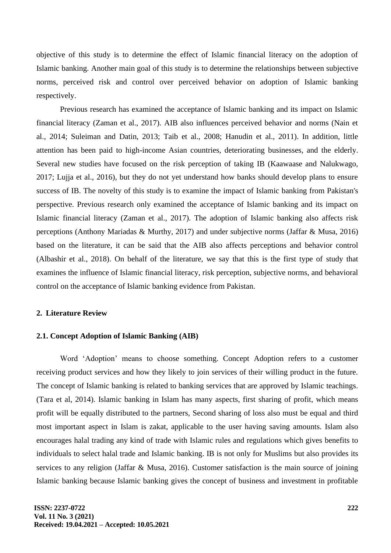objective of this study is to determine the effect of Islamic financial literacy on the adoption of Islamic banking. Another main goal of this study is to determine the relationships between subjective norms, perceived risk and control over perceived behavior on adoption of Islamic banking respectively.

Previous research has examined the acceptance of Islamic banking and its impact on Islamic financial literacy (Zaman et al., 2017). AIB also influences perceived behavior and norms (Nain et al., 2014; Suleiman and Datin, 2013; Taib et al., 2008; Hanudin et al., 2011). In addition, little attention has been paid to high-income Asian countries, deteriorating businesses, and the elderly. Several new studies have focused on the risk perception of taking IB (Kaawaase and Nalukwago, 2017; Lujja et al., 2016), but they do not yet understand how banks should develop plans to ensure success of IB. The novelty of this study is to examine the impact of Islamic banking from Pakistan's perspective. Previous research only examined the acceptance of Islamic banking and its impact on Islamic financial literacy (Zaman et al., 2017). The adoption of Islamic banking also affects risk perceptions (Anthony Mariadas & Murthy, 2017) and under subjective norms (Jaffar & Musa, 2016) based on the literature, it can be said that the AIB also affects perceptions and behavior control (Albashir et al., 2018). On behalf of the literature, we say that this is the first type of study that examines the influence of Islamic financial literacy, risk perception, subjective norms, and behavioral control on the acceptance of Islamic banking evidence from Pakistan.

# **2. Literature Review**

# **2.1. Concept Adoption of Islamic Banking (AIB)**

Word 'Adoption' means to choose something. Concept Adoption refers to a customer receiving product services and how they likely to join services of their willing product in the future. The concept of Islamic banking is related to banking services that are approved by Islamic teachings. (Tara et al, 2014). Islamic banking in Islam has many aspects, first sharing of profit, which means profit will be equally distributed to the partners, Second sharing of loss also must be equal and third most important aspect in Islam is zakat, applicable to the user having saving amounts. Islam also encourages halal trading any kind of trade with Islamic rules and regulations which gives benefits to individuals to select halal trade and Islamic banking. IB is not only for Muslims but also provides its services to any religion (Jaffar & Musa, 2016). Customer satisfaction is the main source of joining Islamic banking because Islamic banking gives the concept of business and investment in profitable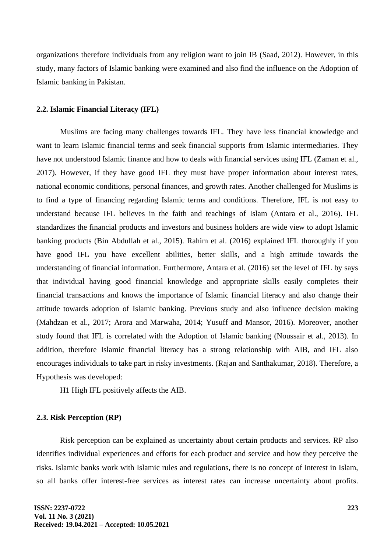organizations therefore individuals from any religion want to join IB (Saad, 2012). However, in this study, many factors of Islamic banking were examined and also find the influence on the Adoption of Islamic banking in Pakistan.

#### **2.2. Islamic Financial Literacy (IFL)**

Muslims are facing many challenges towards IFL. They have less financial knowledge and want to learn Islamic financial terms and seek financial supports from Islamic intermediaries. They have not understood Islamic finance and how to deals with financial services using IFL (Zaman et al., 2017). However, if they have good IFL they must have proper information about interest rates, national economic conditions, personal finances, and growth rates. Another challenged for Muslims is to find a type of financing regarding Islamic terms and conditions. Therefore, IFL is not easy to understand because IFL believes in the faith and teachings of Islam (Antara et al., 2016). IFL standardizes the financial products and investors and business holders are wide view to adopt Islamic banking products (Bin Abdullah et al., 2015). Rahim et al. (2016) explained IFL thoroughly if you have good IFL you have excellent abilities, better skills, and a high attitude towards the understanding of financial information. Furthermore, Antara et al. (2016) set the level of IFL by says that individual having good financial knowledge and appropriate skills easily completes their financial transactions and knows the importance of Islamic financial literacy and also change their attitude towards adoption of Islamic banking. Previous study and also influence decision making (Mahdzan et al., 2017; Arora and Marwaha, 2014; Yusuff and Mansor, 2016). Moreover, another study found that IFL is correlated with the Adoption of Islamic banking (Noussair et al., 2013). In addition, therefore Islamic financial literacy has a strong relationship with AIB, and IFL also encourages individuals to take part in risky investments. (Rajan and Santhakumar, 2018). Therefore, a Hypothesis was developed:

H1 High IFL positively affects the AIB.

### **2.3. Risk Perception (RP)**

Risk perception can be explained as uncertainty about certain products and services. RP also identifies individual experiences and efforts for each product and service and how they perceive the risks. Islamic banks work with Islamic rules and regulations, there is no concept of interest in Islam, so all banks offer interest-free services as interest rates can increase uncertainty about profits.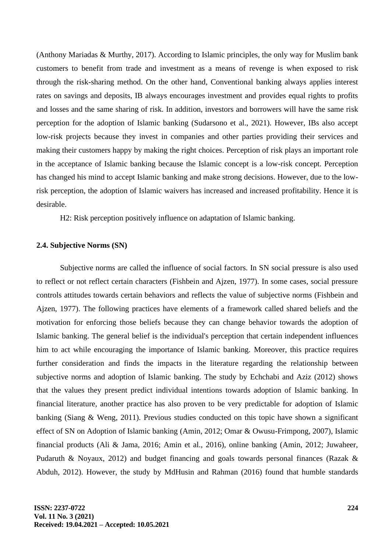(Anthony Mariadas & Murthy, 2017). According to Islamic principles, the only way for Muslim bank customers to benefit from trade and investment as a means of revenge is when exposed to risk through the risk-sharing method. On the other hand, Conventional banking always applies interest rates on savings and deposits, IB always encourages investment and provides equal rights to profits and losses and the same sharing of risk. In addition, investors and borrowers will have the same risk perception for the adoption of Islamic banking (Sudarsono et al., 2021). However, IBs also accept low-risk projects because they invest in companies and other parties providing their services and making their customers happy by making the right choices. Perception of risk plays an important role in the acceptance of Islamic banking because the Islamic concept is a low-risk concept. Perception has changed his mind to accept Islamic banking and make strong decisions. However, due to the lowrisk perception, the adoption of Islamic waivers has increased and increased profitability. Hence it is desirable.

H2: Risk perception positively influence on adaptation of Islamic banking.

### **2.4. Subjective Norms (SN)**

Subjective norms are called the influence of social factors. In SN social pressure is also used to reflect or not reflect certain characters (Fishbein and Ajzen, 1977). In some cases, social pressure controls attitudes towards certain behaviors and reflects the value of subjective norms (Fishbein and Ajzen, 1977). The following practices have elements of a framework called shared beliefs and the motivation for enforcing those beliefs because they can change behavior towards the adoption of Islamic banking. The general belief is the individual's perception that certain independent influences him to act while encouraging the importance of Islamic banking. Moreover, this practice requires further consideration and finds the impacts in the literature regarding the relationship between subjective norms and adoption of Islamic banking. The study by Echchabi and Aziz (2012) shows that the values they present predict individual intentions towards adoption of Islamic banking. In financial literature, another practice has also proven to be very predictable for adoption of Islamic banking (Siang & Weng, 2011). Previous studies conducted on this topic have shown a significant effect of SN on Adoption of Islamic banking (Amin, 2012; Omar & Owusu-Frimpong, 2007), Islamic financial products (Ali & Jama, 2016; Amin et al., 2016), online banking (Amin, 2012; Juwaheer, Pudaruth & Noyaux, 2012) and budget financing and goals towards personal finances (Razak & Abduh, 2012). However, the study by MdHusin and Rahman (2016) found that humble standards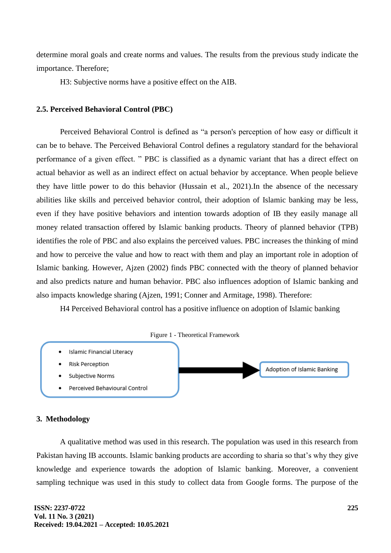determine moral goals and create norms and values. The results from the previous study indicate the importance. Therefore;

H3: Subjective norms have a positive effect on the AIB.

# **2.5. Perceived Behavioral Control (PBC)**

Perceived Behavioral Control is defined as "a person's perception of how easy or difficult it can be to behave. The Perceived Behavioral Control defines a regulatory standard for the behavioral performance of a given effect. " PBC is classified as a dynamic variant that has a direct effect on actual behavior as well as an indirect effect on actual behavior by acceptance. When people believe they have little power to do this behavior (Hussain et al., 2021).In the absence of the necessary abilities like skills and perceived behavior control, their adoption of Islamic banking may be less, even if they have positive behaviors and intention towards adoption of IB they easily manage all money related transaction offered by Islamic banking products. Theory of planned behavior (TPB) identifies the role of PBC and also explains the perceived values. PBC increases the thinking of mind and how to perceive the value and how to react with them and play an important role in adoption of Islamic banking. However, Ajzen (2002) finds PBC connected with the theory of planned behavior and also predicts nature and human behavior. PBC also influences adoption of Islamic banking and also impacts knowledge sharing (Ajzen, 1991; Conner and Armitage, 1998). Therefore:

H4 Perceived Behavioral control has a positive influence on adoption of Islamic banking



# **3. Methodology**

A qualitative method was used in this research. The population was used in this research from Pakistan having IB accounts. Islamic banking products are according to sharia so that's why they give knowledge and experience towards the adoption of Islamic banking. Moreover, a convenient sampling technique was used in this study to collect data from Google forms. The purpose of the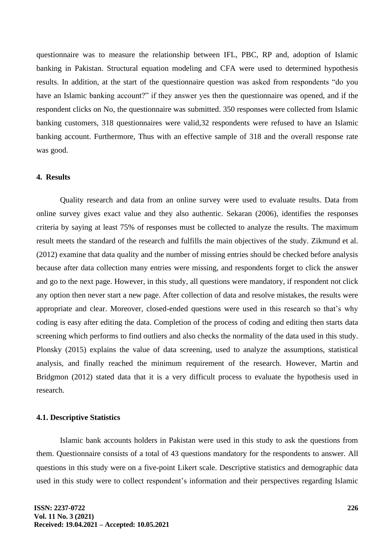questionnaire was to measure the relationship between IFL, PBC, RP and, adoption of Islamic banking in Pakistan. Structural equation modeling and CFA were used to determined hypothesis results. In addition, at the start of the questionnaire question was asked from respondents "do you have an Islamic banking account?" if they answer yes then the questionnaire was opened, and if the respondent clicks on No, the questionnaire was submitted. 350 responses were collected from Islamic banking customers, 318 questionnaires were valid,32 respondents were refused to have an Islamic banking account. Furthermore, Thus with an effective sample of 318 and the overall response rate was good.

# **4. Results**

Quality research and data from an online survey were used to evaluate results. Data from online survey gives exact value and they also authentic. Sekaran (2006), identifies the responses criteria by saying at least 75% of responses must be collected to analyze the results. The maximum result meets the standard of the research and fulfills the main objectives of the study. Zikmund et al. (2012) examine that data quality and the number of missing entries should be checked before analysis because after data collection many entries were missing, and respondents forget to click the answer and go to the next page. However, in this study, all questions were mandatory, if respondent not click any option then never start a new page. After collection of data and resolve mistakes, the results were appropriate and clear. Moreover, closed-ended questions were used in this research so that's why coding is easy after editing the data. Completion of the process of coding and editing then starts data screening which performs to find outliers and also checks the normality of the data used in this study. Plonsky (2015) explains the value of data screening, used to analyze the assumptions, statistical analysis, and finally reached the minimum requirement of the research. However, Martin and Bridgmon (2012) stated data that it is a very difficult process to evaluate the hypothesis used in research.

# **4.1. Descriptive Statistics**

Islamic bank accounts holders in Pakistan were used in this study to ask the questions from them. Questionnaire consists of a total of 43 questions mandatory for the respondents to answer. All questions in this study were on a five-point Likert scale. Descriptive statistics and demographic data used in this study were to collect respondent's information and their perspectives regarding Islamic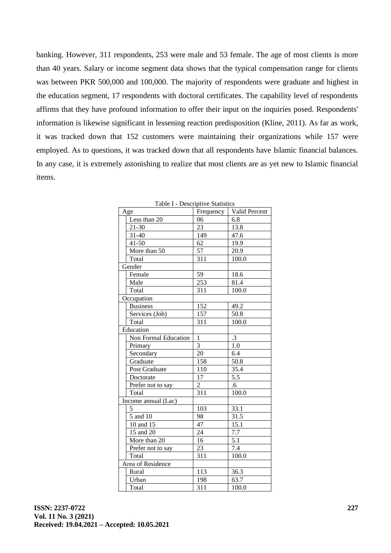banking. However, 311 respondents, 253 were male and 53 female. The age of most clients is more than 40 years. Salary or income segment data shows that the typical compensation range for clients was between PKR 500,000 and 100,000. The majority of respondents were graduate and highest in the education segment, 17 respondents with doctoral certificates. The capability level of respondents affirms that they have profound information to offer their input on the inquiries posed. Respondents' information is likewise significant in lessening reaction predisposition (Kline, 2011). As far as work, it was tracked down that 152 customers were maintaining their organizations while 157 were employed. As to questions, it was tracked down that all respondents have Islamic financial balances. In any case, it is extremely astonishing to realize that most clients are as yet new to Islamic financial items.

| Age |                      | Frequency        | Valid Percent |  |
|-----|----------------------|------------------|---------------|--|
|     | Less than 20         | 06               | 6.8           |  |
|     | $21 - 30$            | 23               | 13.8          |  |
|     | $31 - 40$            | 149              | 47.6          |  |
|     | $41 - 50$            | 62               | 19.9          |  |
|     | More than 50         | 57               | 20.9          |  |
|     | Total                | 311              | 100.0         |  |
|     | Gender               |                  |               |  |
|     | Female               | 59               | 18.6          |  |
|     | Male                 | 253              | 81.4          |  |
|     | Total                | 311              | 100.0         |  |
|     | Occupation           |                  |               |  |
|     | <b>Business</b>      | 152              | 49.2          |  |
|     | Services (Job)       | 157              | 50.8          |  |
|     | Total                | 311              | 100.0         |  |
|     | Education            |                  |               |  |
|     | Non Formal Education | $\mathbf{1}$     | $\cdot$ 3     |  |
|     | Primary              | $\overline{3}$   | 1.0           |  |
|     | Secondary            | $\overline{20}$  | 6.4           |  |
|     | Graduate             | 158              | 50.8          |  |
|     | Post Graduate        | 110              | 35.4          |  |
|     | Doctorate            | $\overline{17}$  | 5.5           |  |
|     | Prefer not to say    | $\overline{2}$   | .6            |  |
|     | Total                | 311              | 100.0         |  |
|     | Income annual (Lac)  |                  |               |  |
|     | 5                    | 103              | 33.1          |  |
|     | 5 and 10             | 98               | 31.5          |  |
|     | 10 and 15            | 47               | 15.1          |  |
|     | 15 and 20            | 24               | 7.7           |  |
|     | More than 20         | 16               | 5.1           |  |
|     | Prefer not to say    | 23               | 7.4           |  |
|     | Total                | 311              | 100.0         |  |
|     | Area of Residence    |                  |               |  |
|     | Rural                | $\overline{113}$ | 36.3          |  |
|     | Urban                | 198              | 63.7          |  |
|     | Total                | $\overline{311}$ | 100.0         |  |

Table I - Descriptive Statistics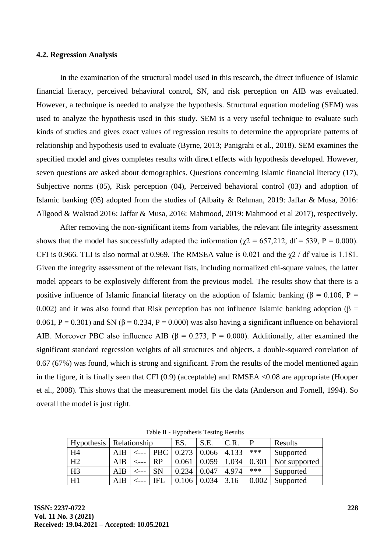# **4.2. Regression Analysis**

In the examination of the structural model used in this research, the direct influence of Islamic financial literacy, perceived behavioral control, SN, and risk perception on AIB was evaluated. However, a technique is needed to analyze the hypothesis. Structural equation modeling (SEM) was used to analyze the hypothesis used in this study. SEM is a very useful technique to evaluate such kinds of studies and gives exact values of regression results to determine the appropriate patterns of relationship and hypothesis used to evaluate (Byrne, 2013; Panigrahi et al., 2018). SEM examines the specified model and gives completes results with direct effects with hypothesis developed. However, seven questions are asked about demographics. Questions concerning Islamic financial literacy (17), Subjective norms (05), Risk perception (04), Perceived behavioral control (03) and adoption of Islamic banking (05) adopted from the studies of (Albaity & Rehman, 2019: Jaffar & Musa, 2016: Allgood & Walstad 2016: Jaffar & Musa, 2016: Mahmood, 2019: Mahmood et al 2017), respectively.

After removing the non-significant items from variables, the relevant file integrity assessment shows that the model has successfully adapted the information ( $\chi$ 2 = 657,212, df = 539, P = 0.000). CFI is 0.966. TLI is also normal at 0.969. The RMSEA value is 0.021 and the  $\chi$ 2 / df value is 1.181. Given the integrity assessment of the relevant lists, including normalized chi-square values, the latter model appears to be explosively different from the previous model. The results show that there is a positive influence of Islamic financial literacy on the adoption of Islamic banking ( $\beta = 0.106$ , P = 0.002) and it was also found that Risk perception has not influence Islamic banking adoption ( $\beta$  = 0.061, P = 0.301) and SN ( $\beta$  = 0.234, P = 0.000) was also having a significant influence on behavioral AIB. Moreover PBC also influence AIB ( $\beta = 0.273$ , P = 0.000). Additionally, after examined the significant standard regression weights of all structures and objects, a double-squared correlation of 0.67 (67%) was found, which is strong and significant. From the results of the model mentioned again in the figure, it is finally seen that CFI (0.9) (acceptable) and RMSEA <0.08 are appropriate (Hooper et al., 2008). This shows that the measurement model fits the data (Anderson and Fornell, 1994). So overall the model is just right.

| <b>Hypothesis</b> | Relationship |  |            | ES.   | S.E   | C.R   | D         | Results       |
|-------------------|--------------|--|------------|-------|-------|-------|-----------|---------------|
| H <sub>4</sub>    | AIB          |  | <b>PBC</b> |       | 0.066 | 4.133 | ***       | Supported     |
| H2                | AIB          |  | RP         | 0.061 | 0.059 | .034  | 0.301     | Not supported |
| H <sub>3</sub>    | AIB          |  | SN         | 0.234 | 0.047 | 4.974 | ***       | Supported     |
| H <sub>1</sub>    | AIB          |  | ſFJ        |       |       |       | $0.002\,$ | Supported     |

Table II - Hypothesis Testing Results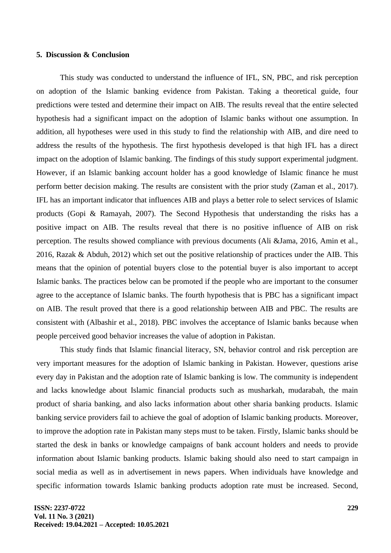## **5. Discussion & Conclusion**

This study was conducted to understand the influence of IFL, SN, PBC, and risk perception on adoption of the Islamic banking evidence from Pakistan. Taking a theoretical guide, four predictions were tested and determine their impact on AIB. The results reveal that the entire selected hypothesis had a significant impact on the adoption of Islamic banks without one assumption. In addition, all hypotheses were used in this study to find the relationship with AIB, and dire need to address the results of the hypothesis. The first hypothesis developed is that high IFL has a direct impact on the adoption of Islamic banking. The findings of this study support experimental judgment. However, if an Islamic banking account holder has a good knowledge of Islamic finance he must perform better decision making. The results are consistent with the prior study (Zaman et al., 2017). IFL has an important indicator that influences AIB and plays a better role to select services of Islamic products (Gopi & Ramayah, 2007). The Second Hypothesis that understanding the risks has a positive impact on AIB. The results reveal that there is no positive influence of AIB on risk perception. The results showed compliance with previous documents (Ali &Jama, 2016, Amin et al., 2016, Razak & Abduh, 2012) which set out the positive relationship of practices under the AIB. This means that the opinion of potential buyers close to the potential buyer is also important to accept Islamic banks. The practices below can be promoted if the people who are important to the consumer agree to the acceptance of Islamic banks. The fourth hypothesis that is PBC has a significant impact on AIB. The result proved that there is a good relationship between AIB and PBC. The results are consistent with (Albashir et al., 2018). PBC involves the acceptance of Islamic banks because when people perceived good behavior increases the value of adoption in Pakistan.

This study finds that Islamic financial literacy, SN, behavior control and risk perception are very important measures for the adoption of Islamic banking in Pakistan. However, questions arise every day in Pakistan and the adoption rate of Islamic banking is low. The community is independent and lacks knowledge about Islamic financial products such as musharkah, mudarabah, the main product of sharia banking, and also lacks information about other sharia banking products. Islamic banking service providers fail to achieve the goal of adoption of Islamic banking products. Moreover, to improve the adoption rate in Pakistan many steps must to be taken. Firstly, Islamic banks should be started the desk in banks or knowledge campaigns of bank account holders and needs to provide information about Islamic banking products. Islamic baking should also need to start campaign in social media as well as in advertisement in news papers. When individuals have knowledge and specific information towards Islamic banking products adoption rate must be increased. Second,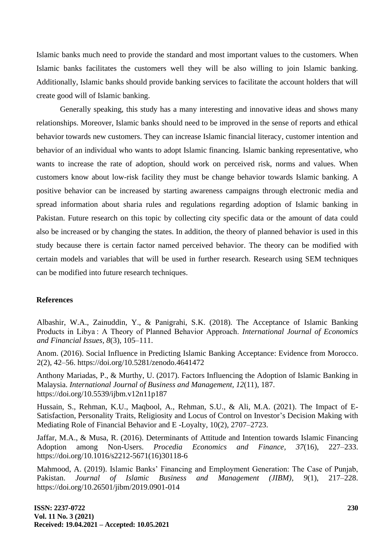Islamic banks much need to provide the standard and most important values to the customers. When Islamic banks facilitates the customers well they will be also willing to join Islamic banking. Additionally, Islamic banks should provide banking services to facilitate the account holders that will create good will of Islamic banking.

Generally speaking, this study has a many interesting and innovative ideas and shows many relationships. Moreover, Islamic banks should need to be improved in the sense of reports and ethical behavior towards new customers. They can increase Islamic financial literacy, customer intention and behavior of an individual who wants to adopt Islamic financing. Islamic banking representative, who wants to increase the rate of adoption, should work on perceived risk, norms and values. When customers know about low-risk facility they must be change behavior towards Islamic banking. A positive behavior can be increased by starting awareness campaigns through electronic media and spread information about sharia rules and regulations regarding adoption of Islamic banking in Pakistan. Future research on this topic by collecting city specific data or the amount of data could also be increased or by changing the states. In addition, the theory of planned behavior is used in this study because there is certain factor named perceived behavior. The theory can be modified with certain models and variables that will be used in further research. Research using SEM techniques can be modified into future research techniques.

# **References**

Albashir, W.A., Zainuddin, Y., & Panigrahi, S.K. (2018). The Acceptance of Islamic Banking Products in Libya : A Theory of Planned Behavior Approach. *International Journal of Economics and Financial Issues, 8*(3), 105–111.

Anom. (2016). Social Influence in Predicting Islamic Banking Acceptance: Evidence from Morocco. 2(2), 42–56. https://doi.org/10.5281/zenodo.4641472

Anthony Mariadas, P., & Murthy, U. (2017). Factors Influencing the Adoption of Islamic Banking in Malaysia. *International Journal of Business and Management, 12*(11), 187. https://doi.org/10.5539/ijbm.v12n11p187

Hussain, S., Rehman, K.U., Maqbool, A., Rehman, S.U., & Ali, M.A. (2021). The Impact of E-Satisfaction, Personality Traits, Religiosity and Locus of Control on Investor's Decision Making with Mediating Role of Financial Behavior and E -Loyalty, 10(2), 2707–2723.

Jaffar, M.A., & Musa, R. (2016). Determinants of Attitude and Intention towards Islamic Financing Adoption among Non-Users. *Procedia Economics and Finance, 37*(16), 227–233. https://doi.org/10.1016/s2212-5671(16)30118-6

Mahmood, A. (2019). Islamic Banks' Financing and Employment Generation: The Case of Punjab, Pakistan. *Journal of Islamic Business and Management (JIBM), 9*(1), 217–228. https://doi.org/10.26501/jibm/2019.0901-014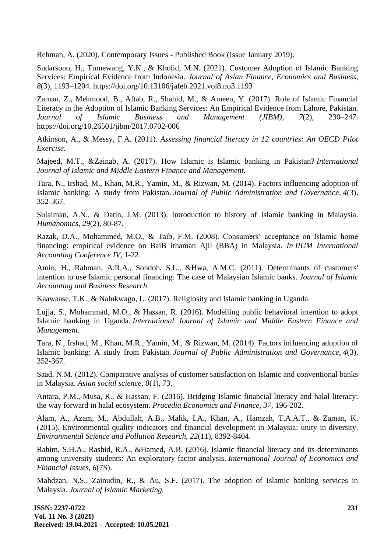Rehman, A. (2020). Contemporary Issues - Published Book (Issue January 2019).

Sudarsono, H., Tumewang, Y.K., & Kholid, M.N. (2021). Customer Adoption of Islamic Banking Services: Empirical Evidence from Indonesia. *Journal of Asian Finance, Economics and Business, 8*(3), 1193–1204. https://doi.org/10.13106/jafeb.2021.vol8.no3.1193

Zaman, Z., Mehmood, B., Aftab, R., Shahid, M., & Ameen, Y. (2017). Role of Islamic Financial Literacy in the Adoption of Islamic Banking Services: An Empirical Evidence from Lahore, Pakistan. *Journal of Islamic Business and Management (JIBM), 7*(2), 230–247. https://doi.org/10.26501/jibm/2017.0702-006

Atkinson, A., & Messy, F.A. (2011). *Assessing financial literacy in 12 countries: An OECD Pilot Exercise.*

Majeed, M.T., &Zainab, A. (2017). How Islamic is Islamic banking in Pakistan? *International Journal of Islamic and Middle Eastern Finance and Management.*

Tara, N., Irshad, M., Khan, M.R., Yamin, M., & Rizwan, M. (2014). Factors influencing adoption of Islamic banking: A study from Pakistan. *Journal of Public Administration and Governance, 4*(3), 352-367.

Sulaiman, A.N., & Datin, J.M. (2013). Introduction to history of Islamic banking in Malaysia. *Humanomics, 29*(2), 80-87.

Razak, D.A., Mohammed, M.O., & Taib, F.M. (2008). Consumers' acceptance on Islamic home financing: empirical evidence on BaiB ithaman Ajil (BBA) in Malaysia. *In IIUM International Accounting Conference IV,* 1-22.

Amin, H., Rahman, A.R.A., Sondoh, S.L., &Hwa, A.M.C. (2011). Determinants of customers' intention to use Islamic personal financing: The case of Malaysian Islamic banks. *Journal of Islamic Accounting and Business Research.*

Kaawaase, T.K., & Nalukwago, L. (2017). Religiosity and Islamic banking in Uganda.

Lujja, S., Mohammad, M.O., & Hassan, R. (2016). Modelling public behavioral intention to adopt Islamic banking in Uganda. *International Journal of Islamic and Middle Eastern Finance and Management.*

Tara, N., Irshad, M., Khan, M.R., Yamin, M., & Rizwan, M. (2014). Factors influencing adoption of Islamic banking: A study from Pakistan. *Journal of Public Administration and Governance, 4*(3), 352-367.

Saad, N.M. (2012). Comparative analysis of customer satisfaction on Islamic and conventional banks in Malaysia. *Asian social science, 8*(1), 73.

Antara, P.M., Musa, R., & Hassan, F. (2016). Bridging Islamic financial literacy and halal literacy: the way forward in halal ecosystem. *Procedia Economics and Finance, 37,* 196-202.

Alam, A., Azam, M., Abdullah, A.B., Malik, I.A., Khan, A., Hamzah, T.A.A.T., & Zaman, K. (2015). Environmental quality indicators and financial development in Malaysia: unity in diversity. *Environmental Science and Pollution Research, 22*(11), 8392-8404.

Rahim, S.H.A., Rashid, R.A., &Hamed, A.B. (2016). Islamic financial literacy and its determinants among university students: An exploratory factor analysis. *International Journal of Economics and Financial Issues, 6*(7S).

Mahdzan, N.S., Zainudin, R., & Au, S.F. (2017). The adoption of Islamic banking services in Malaysia. *Journal of Islamic Marketing.*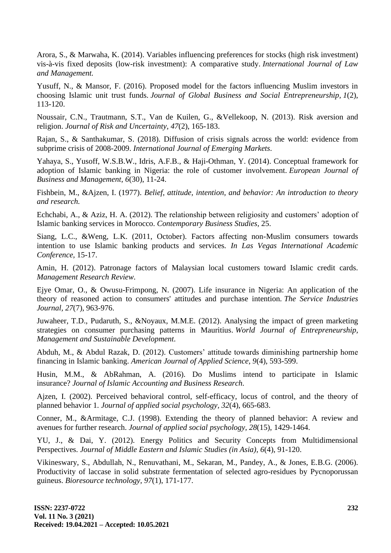Arora, S., & Marwaha, K. (2014). Variables influencing preferences for stocks (high risk investment) vis-à-vis fixed deposits (low-risk investment): A comparative study. *International Journal of Law and Management.*

Yusuff, N., & Mansor, F. (2016). Proposed model for the factors influencing Muslim investors in choosing Islamic unit trust funds. *Journal of Global Business and Social Entrepreneurship, 1*(2), 113-120.

Noussair, C.N., Trautmann, S.T., Van de Kuilen, G., &Vellekoop, N. (2013). Risk aversion and religion. *Journal of Risk and Uncertainty, 47*(2), 165-183.

Rajan, S., & Santhakumar, S. (2018). Diffusion of crisis signals across the world: evidence from subprime crisis of 2008-2009. *International Journal of Emerging Markets.*

Yahaya, S., Yusoff, W.S.B.W., Idris, A.F.B., & Haji-Othman, Y. (2014). Conceptual framework for adoption of Islamic banking in Nigeria: the role of customer involvement. *European Journal of Business and Management, 6*(30), 11-24.

Fishbein, M., &Ajzen, I. (1977). *Belief, attitude, intention, and behavior: An introduction to theory and research.*

Echchabi, A., & Aziz, H. A. (2012). The relationship between religiosity and customers' adoption of Islamic banking services in Morocco. *Contemporary Business Studies,* 25.

Siang, L.C., &Weng, L.K. (2011, October). Factors affecting non-Muslim consumers towards intention to use Islamic banking products and services*. In Las Vegas International Academic Conference,* 15-17.

Amin, H. (2012). Patronage factors of Malaysian local customers toward Islamic credit cards. *Management Research Review.*

Ejye Omar, O., & Owusu-Frimpong, N. (2007). Life insurance in Nigeria: An application of the theory of reasoned action to consumers' attitudes and purchase intention. *The Service Industries Journal, 27*(7), 963-976.

Juwaheer, T.D., Pudaruth, S., &Noyaux, M.M.E. (2012). Analysing the impact of green marketing strategies on consumer purchasing patterns in Mauritius. *World Journal of Entrepreneurship, Management and Sustainable Development.*

Abduh, M., & Abdul Razak, D. (2012). Customers' attitude towards diminishing partnership home financing in Islamic banking. *American Journal of Applied Science, 9*(4), 593-599.

Husin, M.M., & AbRahman, A. (2016). Do Muslims intend to participate in Islamic insurance? *Journal of Islamic Accounting and Business Research.*

Ajzen, I. (2002). Perceived behavioral control, self-efficacy, locus of control, and the theory of planned behavior 1. *Journal of applied social psychology, 32*(4), 665-683.

Conner, M., &Armitage, C.J. (1998). Extending the theory of planned behavior: A review and avenues for further research. *Journal of applied social psychology, 28*(15), 1429-1464.

YU, J., & Dai, Y. (2012). Energy Politics and Security Concepts from Multidimensional Perspectives. *Journal of Middle Eastern and Islamic Studies (in Asia), 6*(4), 91-120.

Vikineswary, S., Abdullah, N., Renuvathani, M., Sekaran, M., Pandey, A., & Jones, E.B.G. (2006). Productivity of laccase in solid substrate fermentation of selected agro-residues by Pycnoporussan guineus. *Bioresource technology, 97*(1), 171-177.